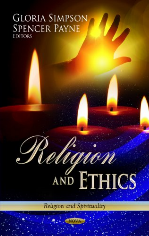# **GLORIA SIMPSON SPENCER PAYNE EDITORS**

# Religion

Religion and Spirituality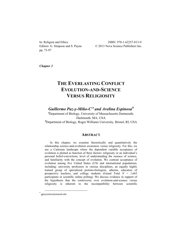pp. 73-97

In: Religion and Ethics ISBN: 978-1-62257-813-9 Editors: G. Simpson and S. Payne  $\degree$  2013 Nova Science Publishers Inc.

*Chapter 3* 

# **THE EVERLASTING CONFLICT EVOLUTION-AND-SCIENCE VERSUS RELIGIOSITY**

*Guillermo Paz-y-Miño-C*\***<sup>a</sup>** *and Avelina Espinosa***<sup>b</sup>**

**<sup>a</sup>** Department of Biology, University of Massachusetts Dartmouth, Dartmouth, MA, USA <sup>b</sup> Department of Biology, Roger Williams University, Bristol, RI, USA

#### **ABSTRACT**

In this chapter, we examine theoretically and quantitatively the relationship science-and-evolution awareness versus religiosity. For this, we use a Cartesian landscape where the dependent variable acceptance of evolution is plotted as function of three factors: religiosity or an individual's personal belief-convictions, level of understanding the essence of science, and familiarity with the concept of evolution. We contrast acceptance of evolution among five United States (US) and international populations, including: university professors in various disciplines, an equally highly trained group of specialized protisto-biologists, atheists, educators of prospective teachers, and college students (Grand Total *N* = 1,665 participants in scientific online polling). We discuss evidence in support of the hypothesis that the controversy over evolution-and-science versus religiosity is inherent to the incompatibility between scientific

 <sup>\*</sup> gpazymino@umassd.edu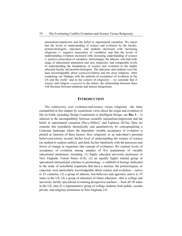rationalism/empiricism and the belief in supernatural causation. We report that the levels of understanding of science and evolution by the faculty, protisto-biologists, educators, and students decreased with increasing religiosity (= negative association of variables), and that the levels of understanding evolution increased with increasing understanding of science (= positive association of variables). Interestingly, the atheists, who had wide range of educational attainment and zero religiosity, had comparable levels of understanding the foundations of science and evolution to the highly educated faculty and protisto-biologists. The educators and students were the least knowledgeable about science/evolution and the most religious. After comparing our findings with the patterns of acceptance of evolution in the US and the world –and in the context of religiosity— we conclude that if science and religion *co-persist* in the future, the relationship between them will fluctuate between moderate and intense antagonism.

#### **INTRODUCTION**

The controversy over evolution-and-science versus religiosity –the latter exemplified in this chapter by creationists views about the origin and evolution of life on Earth, including Design Creationism or Intelligent Design, see **Box 1**— is inherent to the incompatibility between scientific rationalism/empiricism and the belief in supernatural causation (Paz-y-Miño-C and Espinosa 2012a). Here we examine this hypothesis theoretically and quantitatively by conceptualizing a Cartesian landscape where the dependent variable acceptance of evolution is plotted as function of three factors: first, religiosity or an individual's personal belief-convictions; second, his/her level of understanding the essence of science (as method to explore reality); and third, his/her familiarity with the processes and forces of change in organisms (the concept of evolution). We contrast levels of acceptance of evolution among samples of five populations of variable educational attainment, including: (1) highly educated university professors of New England, United States (US); (2) an equally highly trained group of specialized international scholars in protistology –a subfield of biology dedicated to the study of unicellular organisms that have a nucleus; the protistologists, as expected, were particularly knowledgeable about science and evolution— native to 25 countries; (3) a group of atheists, non-believers and agnostics native to 35 states in the US; (4) a group of educators of future educators –that is college and university faculty specialized in training prospective teachers— from all 50 states in the US; and (5) a representative group of college students from public, secular private, and religious institutions in New England, US.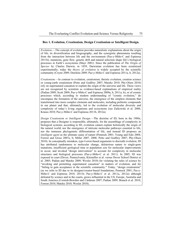#### **Box 1. Evolution, Creationism, Design Creationism or Intelligent Design.**

*Evolution*.—The concept of evolution provides naturalistic explanations about the origin of life, its diversification and biogeography, and the synergistic phenomena resulting from the interaction between life and the environment (Paz-y-Miño-C and Espinosa 2011b); mutations, gene flow, genetic drift and natural selection shape life's biological processes in Earth's ecosystems (Mayr 2001). Since the publication of *The Origin of Species* by Charles Darwin, in 1859, Darwinian evolution has been scrutinized experimentally; today the *theory of evolution* is widely accepted by the scientific community (Coyne 2009; Dawkins 2009; Paz-y-Miño-C and Espinosa 2011a, b, 2012a).

*Creationism*.—In contrast to evolution, creationism, theistic evolution, creation science or young-earth creationism (Petto and Godfrey 2007; Matzke 2010; Phy-Olsen 2010) rely on supernatural causation to explain the origin of the universe and life. These views are not recognized by scientists as evidence-based explanations of empirical reality (Padian 2009; Scott 2009; Paz-y-Miño-C and Espinosa 2009a, b, 2011a, b), or of cosmic processes which, according to modern understanding of "cosmic evolution," do encompass the formation of the universe, the emergence of the simplest elements that transformed into more complex elements and molecules, including prebiotic compounds in our planet and that, ultimately, led to the evolution of molecular diversity and complexity of today's living organisms and ecosystems (see Zaikowski et al. 2008; Krauss 2010; Paz-y-Miño-C and Espinosa 2011b, 2012a).

*Design Creationism or Intelligent Design*.—The doctrine of ID, born in the 1980s, proposes that a Designer is responsible, ultimately, for the assemblage of complexity in biological systems; according to ID, evolution cannot explain holistically the origin of the natural world, nor the emergence of intricate molecular pathways essential to life, nor the immense phylogenetic differentiation of life, and instead ID proposes an *intelligent agent* as the ultimate cause of nature (Pennock 2001; Young and Edis 2004; Forrest and Gross 2007a, b; Miller 2007, 2008; Petto and Godfrey 2007; Phy-Olsen 2010). In conceptually mistaken, type-I-error-based arguments to discredit evolution, ID has attributed randomness to molecular change, deleterious nature to single-gene mutations, insufficient geological time or population size for molecular improvements to occur, and invoked "design intervention" to account for complexity in molecular structures and biological processes (Paz-y-Miño-C et al. 2011). In 2005, ID was exposed in court (Dover, Pennsylvania, Kitzmiller et al. versus Dover School District et al. 2005; Padian and Matzke 2009; Wexler 2010) for violating the rules of science by "invoking and permitting supernatural causation" in matters of evolution, and for "failing to gain acceptance in the scientific community." Today, "design creationism" (as we refer to ID due to its designer/creator-based foundations; Pennock 2001; Paz-y-Miño-C and Espinosa 2010, 2011b; Paz-y-Miño-C et al. 2011a, 2012a) although defeated by science and in the courts, grows influential in the US, Europe, Australia and South America (Cornish-Bowden and Cárdenas 2007; Padian 2009; Branch et al. 2010; Forrest 2010; Matzke 2010; Wexler 2010).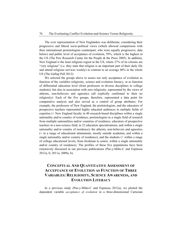The over representation of New Englanders was deliberate, considering their progressive and liberal socio-political views (which allowed comparisons with their international protistologists counterpart, who were equally progressive, data below) and public level of acceptance of evolution, 59%, which is the highest in the US (The Pew Research Center for the People & the Press 2005). In addition, New England is the least religious region in the US, where 27% of its citizens are "very religious" (i.e. they state that religion is an important part of their daily life and attend religious services weekly) in contrast to an average 40% in the whole US (The Gallup Poll 2012).

We selected the groups above to assess not only acceptance of evolution as function of the variables religiosity, science and evolution literacy, or as function of differential education level (from professors in diverse disciplines to college students), but also in association with zero religiosity, represented by the views of atheists, non-believers and agnostics (all explicitly confirmed to their no religiosity). Each of the five groups, therefore, represented a data point for comparative analysis and also served as a control of group attributes. For example, the professors of New England, the protistologists, and the educators of prospective teachers represented highly educated audiences in multiple fields of expertise (= New England faculty in 40 research-based disciplines within a single nationality and/or country of residence; protistologists in a single field of research from multiple nationalities and/or countries of residence; educators of prospective teachers in a non-science field, in 32 education specializations, and within a single nationality and/or country of residence); the atheists, non-believers and agnostics (= in a range of educational attainments, mostly outside academia, and within a single nationality and/or country of residence); and the students (= within a range of college educational levels, from freshman to senior, within a single nationality and/or country of residence). The profiles of these five populations have been extensively discussed in our previous publications (Paz-y-Miño-C and Espinosa 2012a, b; 2011a; 2009a, b).

# **CONCEPTUAL AND QUANTITATIVE ASSESSMENT OF ACCEPTANCE OF EVOLUTION AS FUNCTION OF THREE VARIABLES: RELIGIOSITY, SCIENCE AWARENESS, AND EVOLUTION LITERACY**

In a previous study (Paz-y-Miño-C and Espinosa 2012a), we plotted the dependent variable *acceptance of evolution* in a three-dimensional Cartesian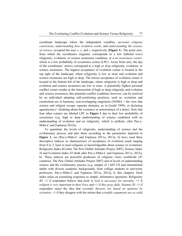coordinate landscape where the independent variables, *personal religious convictions*, *understanding how evolution works*, and *understanding the essence of science*, occupied the axes *x*, *y*, and *z*, respectively (**Figure 1**). The point zero, from which the coordinates originate, corresponds to a low (labeled *none*) religiosity, evolution, or science awareness condition, or a *no awareness corner*, which is a low probability of occurrence corner (LPC). Away from zero, the tips of the coordinates' arrows correspond to a high or *deep* religiosity, evolution, or science awareness. The highest acceptance of evolution corner is located in the top right of the landscape, where religiosity is low or none and evolution and science awareness are high or deep. The lowest acceptance of evolution corner is located in the bottom left of the landscape, where religiosity is high or deep and evolution and science awareness are low or none. A potentially highest personal conflict corner resides at the intersection of high or deep religiosity and evolution and science awareness; this potential conflict condition, however, can be resolved by an individual adopting self-comforting positions, such as: evolution and creationism are in harmony, non-overlapping magisteria (NOMA = the view that science and religion occupy separate domains; as in Gould 1999), or declaring agnosticism (= doubting about the existence or nonexistence of a deity). Note that four other corners are labeled LPC in **Figure 1** due to their low probability of occurrence (e.g. high or deep understanding of science combined with no understanding of evolution and no religiosity, which is unlikely; after Paz-y-Miño-C and Espinosa 2012a).

To quantitate the levels of religiosity, understanding of science and the evolutionary process and plot them according to the parameters depicted in **Figure 1**, we (Paz-y-Miño-C and Espinosa 2011a, 2012a, b) have used three descriptive indexes as characterizers of acceptance of evolution (each ranging from 0 to 3; least to most religious or knowledgeable about science or evolution): Religiosity Index *RI* (after The Pew Global Attitudes Project 2007), Science Index *SI* and Evolution Index *EI* (both after Paz-y-Miño-C and Espinosa 2011a, 2012a, b). These indexes are powerful predictors of religious views worldwide (47 countries; The Pew Global Attitudes Project 2007) and of levels of understanding science and the evolutionary process (e.g. sample of 1,665 US and international adults with diverse academic backgrounds, from college students to university professors; Paz-y-Miño-C and Espinosa 2011a, 2012a, b, this chapter). Each index relies on examining responses to simple, informative questions: Religiosity *RI*: +1 if responders believe that *faith in God is necessary for morality*, +1 if *religion is very important in their lives*, and +1 if *they pray daily*. Science *SI*: +1 if responders reject the idea that *scientific theories are based on opinions by scientists*, +1 if they disagree with the notion that *scientific arguments are as valid*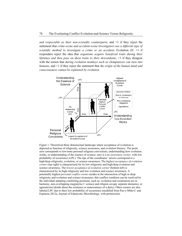*and respectable as their non-scientific counterparts*, and +1 if they reject the statement that *crime-scene and accident-scene investigators use a different type of scientific method to investigate a crime or an accident*; Evolution *EI*: +1 if responders reject the idea that *organisms acquire beneficial traits during their lifetimes and then pass on these traits to their descendants*, +1 if they disagree with the notion that *during evolution monkeys such as chimpanzees can turn into humans*, and +1 if they reject the statement that *the origin of the human mind and consciousness cannot be explained by evolution*.



Figure 1. Theoretical three dimensional landscape where acceptance of evolution is depicted as function of religiosity, science awareness, and evolution literacy. The point zero corresponds to low/none personal religious convictions, understanding how evolution works, or understanding of the essence of science; zero is a *no awareness corner*, with low probability of occurrence (LPC). The tips of the coordinates' arrows correspond to a high/deep religiosity, evolution, or science awareness. The *highest acceptance of evolution corner* (top right) is characterized for its low religiosity and high/deep evolution and science awareness. The *lowest acceptance of evolution corner* (bottom left) is characterized by its high religiosity and low evolution and science awareness. A potentially highest *personal conflict corner* resides at the intersection of high or deep religiosity and evolution and science awareness; this conflict condition can be resolved by the individual adopting comforting positions, such as: evolution and creationism are in harmony, non-overlapping magisteria (= science and religion occupy separate domains), or agnosticism (doubt about the existence or nonexistence of a deity). Other corners are also labeled LPC due to their low probability of occurrence (modified from Paz-y-Miño-C and Espinosa 2012a, Journal of Eukaryotic Microbiology, with permission).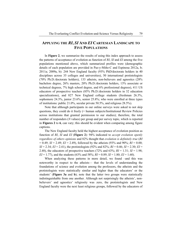## **APPLYING THE** *RI***,** *SI* **AND** *EI* **CARTESIAN LANDSCAPE TO FIVE POPULATIONS**

In **Figure 2**, we summarize the results of using this index approach to assess the patterns of acceptance of evolution as function of *RI*, *SI* and *EI* among the five populations mentioned above, which summarized profiles were (demographic details of each population are provided in Paz-y-Miño-C and Espinosa 2012a, b; 2011a; 2009a, b): 244 New England faculty (93% PhD/doctorate holders in 40 disciplines across 35 colleges and universities), 50 international protistologists (70% Ph.D./doctorate holders), 133 atheists, non-believers and agnostics (28% bachelors degree, 26% masters, 20% Ph.D./doctorate holders, 13% associate or technical degrees, 7% high school degree, and 6% professional degrees), 411 US educators of prospective teachers (85% Ph.D./doctorate holders in 32 education specializations), and 827 New England college students (freshman 26.3%, sophomore 24.3%, junior 23.6%, senior 25.8%; who were enrolled at three types of institutions: public 21.0%, secular private 50.5%, and religious 28.5%).

Note that although participants in our online surveys were asked to not skip questions, they could do it freely (= human subjects/Institutional Review Policies across institutions that granted permission to our studies); therefore, the total number of responders (*N* values) per group and per survey topic, which is reported in **Figures 2** to **6**, can vary; this should be evident when comparing among figure captions.

The New England faculty held the highest acceptance of evolution position as function of *RI*, *SI* and *EI* (**Figure 2**): 94% indicated to *accept evolution openly regardless of others opinions* and 82% thought that *evolution is definitely true* (*RI* = 0.49; *SI* = 2.49; *EI* = 2.49), followed by the atheists (93% and 90%; *RI* = 0.00; *SI* = 2.34; *EI* = 2.41), the protistologists (92% and 82%; *RI* = 0.46; *SI* = 2.30; *EI* = 2.48), the educators of prospective teachers (72% and 63%;  $RI = 1.31$ ;  $SI = 1.98$ ;  $EI = 1.77$ , and the students (63% and 58%;  $RI = 0.89$ ;  $SI = 1.80$ ;  $EI = 1.60$ ).

When analyzing these patterns in more detail, we found –and this was noteworthy in respect to the atheists— that the levels of understanding the foundations of science and evolution among the professors, the atheists and the protistologists were statistically similar and higher than the educators' or the students' (**Figure 3a** and **b**); note that the latter two groups were statistically indistinguishable from one another. Although not surprisingly the atheists', nonbelievers' and agnostics' religiosity was zero, the protistologists and New England faculty were the next least religious groups, followed by the educators of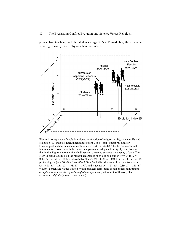prospective teachers, and the students (**Figure 3c**). Remarkably, the educators were significantly more religious than the students.



Figure 2. Acceptance of evolution plotted as function of religiosity (*RI*), science (*SI*), and evolution (*EI*) indexes. Each index ranges from 0 to 3 (least to most religious or knowledgeable about science or evolution; see text for details). The three-dimensional landscape is consistent with the theoretical parameters depicted in Fig. 1; note, however, that in this Figure the scale of each dimension differs to enhance the display of data. The New England faculty held the highest acceptance of evolution position  $(N = 244; RI =$ 0.49; *SI* = 2.49; *EI* = 2.49), followed by atheists (*N* = 133; *RI* = 0.00; *SI* = 2.34; *EI* = 2.41), protistologists ( $N = 50$ ;  $RI = 0.46$ ;  $SI = 2.30$ ;  $EI = 2.48$ ), educators of prospective teachers (*N* = 411; *RI* = 1.31; *SI* = 1.98; *EI* = 1.77), and students (*N* = 827; *RI* = 0.89; *SI* = 1.80; *EI* = 1.60). Percentage values written within brackets correspond to responders admitting to *accept evolution openly regardless of others opinions* (first value), or thinking that *evolution is definitely true* (second value).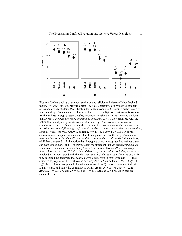

Figure 3. Understanding-of-science, evolution and religiosity indexes of New England faculty (*NE Fac*), atheists, protistologists (*Protistol*), educators of prospective teachers (*Edu*) and college students (*Stu*). Each index ranges from 0 to 3 (lower to higher levels of understanding of science and evolution, or least to most religious position) as follows: *a*, for the *understanding-of-science index*, responders received +1 if they rejected the idea that *scientific theories are based on opinions by scientists*, +1 if they disagreed with the notion that *scientific arguments are as valid and respectable as their nonscientific counterparts*, and +1 if they rejected the statement that *crime-scene and accident-scene investigators use a different type of scientific method to investigate a crime or an accident*; Kruskal-Wallis one-way ANOVA on ranks,  $H = 119.336$ ,  $df = 4$ ,  $P \le 0.001$ . *b*, for the *evolution index*, responders received +1 if they rejected the idea that *organisms acquire beneficial traits during their lifetimes and then pass on these traits to their descendants*, +1 if they disagreed with the notion that *during evolution monkeys such as chimpanzees can turn into humans*, and +1 if they rejected the statement that *the origin of the human mind and consciousness cannot be explained by evolution*; Kruskal-Wallis one-way ANOVA on ranks,  $H = 262.282$ ,  $df = 4$ ,  $P \le 0.001$ . *c*, for the *religiosity index*, responders received +1 if they agreed with the idea that *faith in God is necessary for morality*, +1 if they accepted the statement that *religion is very important in their lives*, and +1 if they admitted to *pray daily*; Kruskal-Wallis one-way ANOVA on ranks, *H* = 95.678, *df* = 3, *P*≤0.001 (N/A = non-applicable for Atheists whose RI = 0). *Lowercase letters* indicate Dunn-test two-tail pair-wise comparisons within groups *P*≤0.05. *NE Fac*, *N* = 222; *Atheists*,  $N = 133$ ; *Protistol*,  $N = 50$ ; *Edu*,  $N = 411$ ; and *Stu*,  $N = 576$ . Error bars are standard errors.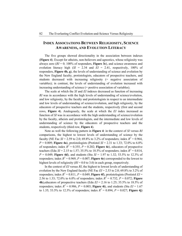# **INDEX ASSOCIATIONS BETWEEN RELIGIOSITY, SCIENCE AWARENESS, AND EVOLUTION LITERACY**

The five groups showed directionality in the association between indexes (**Figure 4**). Except for atheists, non-believers and agnostics, whose religiosity was always zero (*RI* = 0; 100% of responders, **Figure 3c**), and science awareness and evolution literacy high  $(SI = 2.34$  and  $EI = 2.41$ , respectively, 100% of responders, **Figure 4b, g**), the levels of understanding of science and evolution by the New England faculty, protistologists, educators of prospective teachers, and students decreased with increasing religiosity (= negative association of variables); in contrast, the levels of understanding of evolution increased with increasing understanding of science (= positive association of variables).

The scale at which the *SI* and *EI* indexes decreased as function of increasing *RI* was in accordance with the high levels of understanding of science/evolution, and low religiosity, by the faculty and protistologists in respect to an intermediate and low levels of understanding of science/evolution, and high religiosity, by the educators of prospective teachers and the students, respectively (first and second rows, **Figure 4**). Analogously, the scale at which the *EI* index increased as function of *SI* was in accordance with the high understanding of science/evolution by the faculty, atheists and protistologists, and the intermediate and low levels of understanding of science by the educators of prospective teachers and the students, respectively (third row, **Figure 4**).

Note as well the following pattern in **Figure 4**: in the context of *SI* versus *RI* comparisons, the highest to lowest levels of understanding of science by the faculty (NE Fac *SI* = 2.59 to 2.0; 69.8% to 3.2% of responders; index  $R^2 = 0.964$ ,  $P = 0.009$ ; **Figure 4a**), protistologists (Protistol *SI* = 2.31 to 1.33; 72.0% to 6.0% of responders; index  $R^2 = 0.355$ ,  $P = 0.202$ ; **Figure 4c**), educators of prospective teachers (Edu *SI* = 2.15 to 1.57; 35.5% to 18.5% of responders; index  $R^2 = 0.814$ , *P* = 0.049; **Figure 4d**), and students (Stu *SI* = 1.97 to 1.32; 53.5% to 12.3% of responders; index  $R^2 = 0.969$ ,  $P = 0.007$ ; **Figure 4e**) corresponded to the lowest to highest levels of religiosity (*RI* = 0.0 to 3.0) in each group, respectively.

In the context of *EI* versus *RI*, the highest to lowest levels of understanding of evolution by the New England faculty (NE Fac *EI* = 2.53 to 2.0; 69.8% to 3.2% of responders; index  $R^2 = 0.811$ ,  $P = 0.049$ ; **Figure 4f**), protistologists (Protistol  $EI =$ 2.56 to 1.33; 72.0% to 6.0% of responders; index  $R^2 = 0.732$ ,  $P = 0.072$ ; **Figure 4h**),educators of prospective teachers (Edu *EI* = 2.16 to 1.25; 35.5% to 18.5% of responders; index  $R^2 = 0.986$ ,  $P = 0.003$ ; **Figure 4i**), and students (Stu  $EI = 1.67$ to 1.35; 53.5% to 12.3% of responders; index  $R^2 = 0.894$ ,  $P = 0.027$ ; **Figure 4j**)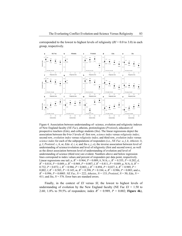corresponded to the lowest to highest levels of religiosity (*RI* = 0.0 to 3.0) in each group, respectively.



Figure 4. Association between understanding-of- science, evolution and religiosity indexes of New England faculty (*NE Fac*), atheists, protistologists (*Protistol*), educators of prospective teachers (*Edu*), and college students (*Stu*). The linear regressions depict the association between the 0-to-3 levels of: first row, *science index* versus *religiosity index*; second row, *evolution index* versus *religiosity index*; and third row, *evolution index* versus *science index* for each of the subpopulations of responders (i.e., *NE Fac*: *a*, *f*, *k*; *Atheists*: *b*, *g*, *l*; *Protistol*: *c*, *h*, *m*; *Edu*: *d*, *i*, *n*; and *Stu e*, *j*, *o*); the inverse association between level of understanding of science/evolution and level of religiosity (first and second rows), as well as the direct association between level of understanding of evolution and level of understanding of science (third row) are evident. Numbers above and below regression lines correspond to index values and percent of responders per data point, respectively. Linear regressions one tail: *a*,  $R^2 = 0.964$ ,  $P = 0.009$ ; *b*, N/A; *c*,  $R^2 = 0.355$ ,  $P = 0.202$ ; *d*,  $R^2 = 0.814$ ,  $P = 0.049$ ; *e*,  $R^2 = 0.969$ ,  $P = 0.007$ ; *f*,  $R^2 = 0.811$ ,  $P = 0.049$ ; *g*, N/A; *h*,  $R^2 =$ 0.732,  $P = 0.072$ ; *i*,  $R^2 = 0.986$ ,  $P = 0.003$ ; *j*,  $R^2 = 0.894$ ,  $P = 0.027$ ; *k*,  $R^2 = 0.989$ ,  $P =$ 0.002; *l*,  $R^2 = 0.503$ ,  $P = 0.145$ ; *m*,  $R^2 = 0.398$ ,  $P = 0.184$ ; *n*,  $R^2 = 0.986$ ,  $P = 0.003$ ; and *o*,  $R^2 = 0.996$ ,  $P = 0.0005$ . *NE Fac*,  $N = 222$ ; *Atheists*,  $N = 133$ ; *Protistol*,  $N = 50$ ; *Edu*,  $N = 123$ 411; and *Stu*, *N* = 576. Error bars are standard errors.

Finally, in the context of *EI* versus *SI*, the lowest to highest levels of understanding of evolution by the New England faculty (NE Fac  $EI = 1.50$  to 2.68; 1.8% to 59.5% of responders; index  $R^2 = 0.989$ ,  $P = 0.002$ ; **Figure 4k**),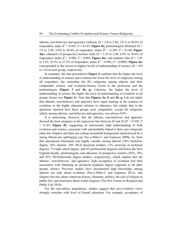atheists, non-believers and agnostics (Atheists  $EI = 2.0$  to  $2.48$ ;  $3.0$  % to  $49.6\%$  of responders; index  $R^2 = 0.503$ ,  $P = 0.145$ ; **Figure 41**), protistologists (Protistol  $EI =$ 2.0 to 2.88; 2.0% to 48.0% of responders; index  $R^2 = 0.398$ ,  $P = 0.184$ ; **Figure 4m**), educators of prospective teachers (Edu *EI* = 1.35 to 2.04; 4.9% to 30.4% of responders; index  $R^2 = 0.986$ ,  $P = 0.003$ ; **Figure 4n**), and students (Stu  $EI = 1.05$ to 1.92; 10.2% to 27.3% of responders; index  $R^2 = 0.996$ ,  $P = 0.0005$ ; **Figure 40**) corresponded to the lowest to highest levels of understanding of science  $(SI = 0.0$ to 3.0) in each group, respectively.

In summary, the data presented in **Figure 4** confirms that the higher the level of understanding of science and evolution the lower the level of religiosity among all responders, but remember the 0% religiosity among atheists and their comparable science- and evolution-literacy levels to the professors and the protistologists (**Figure 3** and **4b, g**). Likewise, the higher the level of understanding of science the higher the level of understanding of evolution in all groups (lower row **Figure 4**). Note that **Figures 3a**, **b** and **4b**, **g**, **l** do not imply that atheists, non-believers and agnostics have equal training in the sciences or evolution as the highly educated scholars or educators, but simply that in the questions reported here these groups were comparable, except for religiosity which, among atheists, non-believers and agnostics, was always 0.0%.

It is interesting, however, that the atheists, non-believers and agnostics showed the least steepness in the regression line between *EI* and *SI* ( $R^2 = 0.503$ , *P* = 0.145; **Figure 4l**), suggesting an intrinsically high understanding of both evolution and science, consistent with and probably linked to their zero religiosity (data this chapter) and their pre-college household background characterized by a strong liberal-arts upbringing (see Paz-y-Miño-C and Espinosa 2009a, b). Note that educational attainment was highly variable among atheists (28% bachelors degree, 26% masters, 20% Ph.D./doctorate holders, 13% associate or technical degrees, 7% high school degree, and 6% professional degrees) and below the New England faculty, protistologists, and educators of prospective teachers (93%, 70% and 85% Ph.D/doctorate degree holders, respectively), which implies that the atheists', non-believers' and agnostics' high acceptance of evolution had little association with obtaining an advanced academic degree (opposite to all other groups, below). Previous studies have documented high knowledge among atheists not only about evolution (Paz-y-Miño-C and Espinosa 2012c, this chapter) but also about American history, literature, politics, the role of religion in public life, and awareness about world religions (The Pew Forum on Religion and Public Life 2010).

For the non-atheist populations, studies suggest that pro-evolution views strongly correlate with level of formal education. For example, acceptance of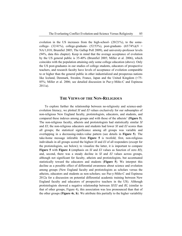evolution in the US increases from the high-school- (20/21%), to the somecollege-  $(32/41\%)$ , college-graduate-  $(52/53\%)$ , post-graduate-  $(65/74\%)$  $(N =$ NA/1,018; Brumfiel 2005; The Gallup Poll 2009), and university-professor levels (94%, data this chapter). Keep in mind that the average acceptance of evolution by the US general public is 35-40% (Brumfiel 2005; Miller et al. 2006), which coincides with the population attaining only some college education (above). Only the US post-graduates in our studies of college students, educators of prospective teachers, and research faculty have levels of acceptance of evolution comparable to or higher than the general public in other industrialized and prosperous nations like Iceland, Denmark, Sweden, France, Japan and the United Kingdom  $\approx 75$ -85%; Miller et al. 2006; see detailed discussion in Paz-y-Miño-C and Espinosa 2011a).

#### **THE VIEWS OF THE NON-RELIGIOUS**

To explore further the relationship between no-religiosity and science-andevolution literacy, we plotted *SI* and *EI* values exclusively for our subsamples of non-religious New England faculty, protistologists, educators, and students, and compared these indexes among groups and with those of the atheists' (**Figure 5**). The non-religious faculty, atheists and protistologists had statistically similar *SI* and *EI*; the non-religious educators and students had lower *SI* and *EI* scores than all groups; the statistical significance among all groups was variable and overlapping in a decreasing-index-value pattern (see details in **Figure 5**). The take-home message inferable from **Figure 5** is twofold; first, non-religious individuals in all groups scored the highest *SI* and *EI* of all responders (except for the protistologists, see below); to visualize the latter, it is important to compare **Figure 5** with **Figure 4** (emphasis on *SI* and *EI* values as function of zero *RI*); and, second, there was a steady decline in *SI* and *EI* values across groups, although not significant for faculty, atheists and protistologists, but accentuated statistically toward the educators and students (**Figure 5**). We interpret this decline as a possible effect of differential awareness about science and evolution among groups (New England faculty and protistologists as scholars versus the atheists, educators and students as non-scholars; see Paz-y-Miño-C and Espinosa 2012a for a discussion on potential differential academic training between New England faculty and educators of prospective teachers in the US). Although protistologists showed a negative relationship between *SI*/*EI* and *RI*, (similar to that of other groups, Figure 4), this association was less pronounced than that of the other groups (**Figure 4c**, **h**). We attribute this partially to the higher variability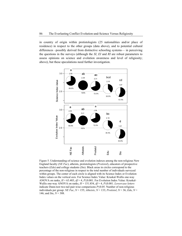in country of origin within protistologists (25 nationalities and/or place of residence) in respect to the other groups (data above), and to potential cultural differences –possibly derived from distinctive schooling systems— in perceiving the questions in the surveys (although the *SI*, *EI* and *RI* are robust parameters to assess opinions on science and evolution awareness and level of religiosity; above), but these speculations need further investigation.



Figure 5. Understanding-of-science and evolution indexes among the non-religious New England faculty (*NE Fac*), atheists, protistologists (*Protistol*), educators of prospective teachers (*Edu*) and college students (*Stu*). Black areas in circles correspond to the percentage of the non-religious in respect to the total number of individuals surveyed within groups. The center of each circle is aligned with its Science Index or Evolution Index values on the vertical axis. For Science Index Value: Kruskal-Wallis one-way ANOVA on ranks, *H* = 63.403, *df* = 4, *P*≤0.001. For Evolution Index Value: Kruskal-Wallis one-way ANOVA on ranks, *H* = 151.854, *df* = 4, *P*≤0.001. *Lowercase letters* indicate Dunn-test two-tail pair-wise comparisons *P*≤0.05. Number of non-religious individuals per group: *NE Fac*, *N* = 155; *Atheists*, *N* = 133; *Protistol*, *N* = 36; *Edu*, *N* = 146; and *Stu*, *N* = 308.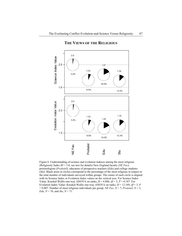

### **THE VIEWS OF THE RELIGIOUS**

Figure 6. Understanding-of-science and evolution indexes among the most religious (Religiosity Index *RI* = 3.0, see text for details) New England faculty (*NE Fac*), protistologists (*Protistol*), educators of prospective teachers (*Edu*) and college students (*Stu*). Black areas in circles correspond to the percentage of the most religious in respect to the total number of individuals surveyed within groups. The center of each circle is aligned with its Science Index or Evolution Index values on the vertical axis. For Science Index Value: Kruskal-Wallis one-way ANOVA on ranks,  $H = 4.806$ ,  $df = 3$ ,  $P = 0.187$ . For Evolution Index Value: Kruskal-Wallis one-way ANOVA on ranks,  $H = 12.169$ ,  $df = 3$ ,  $P$ = 0.007. Number of most religious individuals per group: *NE Fac*, *N* = 7; *Protistol*, *N* = 3; *Edu*, *N* = 76; and *Stu*, *N* = 71.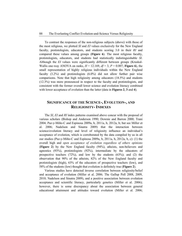To contrast the responses of the non-religious subjects (above) with those of the most religious, we plotted *SI* and *EI* values exclusively for the New England faculty, protistologists, educators, and students scoring 3.0 in their *RI* and compared these values among groups (**Figure 6**). The most religious faculty, protistologists, educators, and students had statistically indistinguishable *SI*. Although the *EI* values were significantly different between groups (Kruskal-Wallis one-way ANOVA on ranks,  $H = 12.169$ ,  $df = 3$ ,  $P = 0.007$ ; **Figure 6**), the small representation of highly religious individuals within the New England faculty (3.2%) and protistologists (6.0%) did not allow further pair wise comparisons. Note that high religiosity among educators (18.5%) and students (12.3%) was more pronounced in respect to the faculty and protistologists, and consistent with the former overall lower science and evolution literacy combined with lower acceptance of evolution than the latter (data in **Figures 2**, **3** and **4**).

# **SIGNIFICANCE OF THE SCIENCE-, EVOLUTION-, AND RELIGIOSITY- INDEXES**

The *SI*, *EI* and *RI* index patterns examined above concur with the proposal of various scholars (Bishop and Anderson 1990; Downie and Barron 2000; Trani 2004; Paz-y-Miño-C and Espinosa 2009a, b, 2011a, b, 2012a, b; but see Miller et al. 2006; Nadelson and Sinatra 2009) that the interaction between science/evolution literacy and level of religiosity influence an individual's acceptance of evolution, which is corroborated by the data compiled by us in all our studies (Paz-y-Miño-C and Espinosa 2009a, b, 2011a, b, 2012a, b, c): (1) the overall high and *open acceptance of evolution regardless of others opinions* (**Figure 2**) by the New England faculty (94%), atheists, non-believers and agnostics (93%), protistologists (92%), intermediate by the educators of prospective teachers (72%), and low by the students (63%); and (2) the observation that 90% of the atheists, 82% of the New England faculty and protistologists (high), 63% of the educators of prospective teachers (low), and 58% of the students (low) thought that evolution is definitely true (**Figure 2**).

Various studies have detected inverse correlation between religiosity/belief and acceptance of evolution (Miller et al. 2006; The Gallup Poll 2008, 2009, 2010; Nadelson and Sinatra 2009), and a positive association between evolution acceptance and scientific literacy, particularly genetics (Miller et al. 2006); however, there is some discrepancy about the association between general educational attainment and attitudes toward evolution (Miller et al. 2006;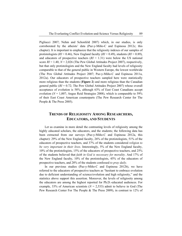Pigliucci 2007; Nehm and Schonfeld 2007) which, in our studies, is only corroborated by the atheists' data (Paz-y-Miño-C and Espinosa 2012c; this chapter). It is important to emphasize that the religiosity indexes of our samples of protistologists ( $RI = 0.46$ ), New England faculty ( $RI = 0.49$ ), students ( $RI = 0.89$ ), and educators of prospective teachers  $(RI = 1.31)$  were below the US national score  $RI = 1.40$ ,  $N = 2,026$  (The Pew Global Attitudes Project 2007), respectively, but that only protistologists and the New England faculty had levels of religiosity comparable to that of the general public in Western Europe, the lowest worldwide (The Pew Global Attitudes Project 2007; Paz-y-Miño-C and Espinosa 2011a, 2012a). Our educators of prospective teachers sampled here were statistically more religious than the students (**Figure 2**) and more religious than the Canadian general public (*RI* = 0.72; The Pew Global Attitudes Project 2007) whose overall acceptance of evolution is 58%, although 63% of East Coast Canadians accept evolution ( $N = 1,007$ ; Angus Reid Strategies 2008), which is comparable to 59% of their East Coast American counterparts (The Pew Research Center for The People & The Press 2005).

# **TRENDS OF RELIGIOSITY AMONG RESEARCHERS, EDUCATORS, AND STUDENTS**

Let us examine in more detail the contrasting levels of religiosity among the highly educated scholars, the educators, and the students; the following data has been extracted from our surveys (Paz-y-Miño-C and Espinosa 2012a, this chapter): 29% of the New England faculty, 26% of the protistologists, 51% of the educators of prospective teachers, and 37% of the students considered *religion to be very important in their lives*. Interestingly, 5% of the New England faculty, 10% of the protistologists, 15% of the educators of prospective teachers, and 25% of the students believed that *faith in God is necessary for morality*. And 17% of the New England faculty, 10% of the protistologists, 45% of the educators of prospective teachers, and 28% of the students confessed *to pray daily*.

In our previous studies (Paz-y-Miño-C and Espinosa 2012b), we have referred to the educators of prospective teachers as "hesitant to embrace evolution due to deficient understanding of science/evolution and high religiosity," and the statistics above support this assertion. Moreover, the levels of religiosity among the educators are among the highest reported for Ph.D.-educated audiences. For example, 33% of American scientists  $(N = 2.533)$  admit to believe in God (The Pew Research Center For The People & The Press 2009), in contrast to 12% of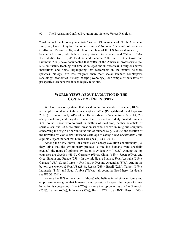"professional evolutionary scientists"  $(N = 149$  members of North American, European, United Kingdom and other countries' National Academies of Sciences; Graffin and Provine 2007) and 7% of members of the US National Academy of Science  $(N = 260)$  who believe in a personal God (Larson and Witham 1998). Two studies  $(N = 1,646$  Ecklund and Scheitle 2007;  $N = 1,417$  Gross and Simmons 2009) have documented that  $\approx$ 30% of the American professoriate (ca. 630,000 faculty teaching full-time at colleges and universities) is religious across institutions and fields, highlighting that researchers in the natural sciences (physics, biology) are less religious than their social sciences counterparts (sociology, economics, history, except psychology); our sample of educators of prospective teachers was indeed highly religious.

# **WORLD VIEWS ABOUT EVOLUTION IN THE CONTEXT OF RELIGIOSITY**

We have previously stated that based on current scientific evidence, 100% of all people should accept the *concept of evolution* (Paz-y-Miño-C and Espinosa 2012c). However, only 41% of adults worldwide  $(24 \text{ countries}, N = 18,829)$ accept evolution, and they do it under the premise that a deity created humans; 31% do not know who to trust in matters of evolution, neither scientists or spiritualists; and 28% are strict creationists who believe in religious scriptures concerning the origin of our universe and of humans (e.g. *Genesis*: the creation of the universe by God a few thousand years ago = *Young Earth Creationists*), and explicitly reject the fact that humans are apes (IPSOS 2011).

Among the 41% (above) of citizens who accept evolution conditionally (i.e. they think that the evolutionary process is true but humans were specially created), the range of opinions by nation is evident  $(r = 7-68\%)$ . Among the top countries are Sweden (68%), Germany (65%), China (64%), Japan (60%), and Great Britain and France (55%). In the middle are Spain (53%), Australia (51%), Canada (45%), South Korea (41%), Italy (40%) and Argentina (37%). And in the bottom are Mexico (34%), US (28%), Russia (26%), Brazil (22%), Turkey (19%), Indonesia (11%) and Saudi Arabia (7%)(not all countries listed here; for details see IPSOS 2011).

Among the 28% of creationists (above) who believe in religious scripture and emphasize --wrongly-- that humans cannot possibly be apes, the range of views by nation is conspicuous ( $r = 8-75\%$ ). Among the top countries are Saudi Arabia (75%), Turkey (60%), Indonesia (57%), Brazil (47%), US (40%), Russia (34%)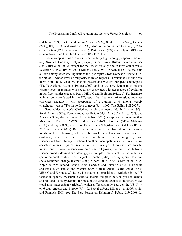and India (33%). In the middle are Mexico (32%), South Korea (24%), Canada (22%), Italy (21%) and Australia (15%). And in the bottom are Germany (12%), Great Britain (12%), China and Japan (11%), France (9%) and Belgium (8%)(not all countries listed here; for details see IPSOS 2011).

Public acceptance of evolution is particularly high among prosperous nations (e.g. Sweden, Germany, Belgium, Japan, France, Great Britain, data above; see also Miller et al. 2006), except for the US where only one in three adults thinks evolution is true (IPSOS 2011; Miller et al. 2006). In fact, the US is the only outlier, among other wealthy nations (i.e. per capita Gross Domestic Product GDP  $\approx$  \$50,000), whose level of religiosity is much higher (1.4 versus 0.6 in the scale of *RI* from 0 to 3, see above) than its Eastern and Western European counterparts (The Pew Global Attitudes Project 2007); and, as we have demonstrated in this chapter, level of religiosity is negatively associated with acceptance of evolution in our five samples (see also Paz-y-Miño-C and Espinosa 2012a, b). Furthermore, national polls conducted in the US, report that frequency of religious practices correlates negatively with acceptance of evolution: 24% among weekly churchgoers versus 71% for seldom or never  $(N = 1,007)$ ; The Gallup Poll 2007).

Geographically, world Christians in six continents (North America 30%; South America 30%; Europe and Great Britain 50%; Asia 30%; Africa 25%; and Australia 30%; data extracted from Wilson 2010) accept evolution more than Muslims in Turkey (19-22%), Indonesia (11-16%), Pakistan (14%), Malaysia (12%) and Egypt (8%), except for Kazakhstan (38%)(data extracted from IPSOS 2011 and Hameed 2008). But what is crucial to deduce from these international trends is that religiosity, all over the world, interferes with acceptance of evolution, and that the negative correlation between religiosity and science/evolution literacy is inherent to their incompatible nature: supernatural causation versus empirical reality. We acknowledge, of course, that societal interactions between science/evolution and religiosity, as much as between science broadly defined and ideology, are complex, multi factorial, variable in a spatio-temporal context, and subject to public policy, demographics, law and socio-economic change (Lerner 2000; Moore 2002, 2004; Gross et al. 2005; Apple 2008; Miller and Pennock 2008; Berkman and Plutzer 2009, 2011; Ecklund and Park 2009; Padian and Matzke 2009; Matzke 2010; Wexler 2010; Paz-y-Miño-C and Espinosa 2011a, b). For example, opposition to evolution in the US resides in specific measurable cultural factors: religious beliefs, pro-life beliefs, and political ideology account for most of the variance against evolutionary views (total nine independent variables), which differ distinctly between the US ( $R^2$  = 0.46 total effects) and Europe ( $R^2 = 0.18$  total effects; Miller et al. 2006; Miller and Pennock 2008; see The Pew Forum on Religion & Public Life 2008 for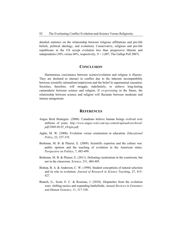detailed statistics on the relationship between religious affiliations and pro-life beliefs, political ideology, and evolution). Conservative, religious and pro-life republicans in the US accept evolution less than progressive liberals and independents (30% versus 60%, respectively,  $N = 1,007$ ; The Gallup Poll 2007).

#### **CONCLUSION**

Harmonious coexistence between science/evolution and religion is illusory. They are destined to interact in conflict due to the inherent incompatibility between scientific rationalism/empiricism and the belief in supernatural causation. Societies, therefore, will struggle, indefinitely, to achieve long-lasting camaraderie between science and religion. If *co-persisting* in the future, the relationship between science and religion will fluctuate between moderate and intense antagonism.

#### **REFERENCES**

- Angus Reid Strategies. (2008). Canadians believe human beings evolved over millions of years. *http://www.angus-reid.com/wp-content/uploads/archivedpdf/2008.08.05\_Origin.pdf*.
- Apple, M. W. (2008). Evolution versus creationism in education. *Educational Policy*, 22, 327-335.
- Berkman, M. B. & Plutzer, E. (2009). Scientific expertise and the culture war: public opinion and the teaching of evolution in the American states. *Perspective on Politics*, 7, 485-499.
- Berkman, M. B. & Plutzer, E. (2011). Defeating creationism in the courtroom, but not in the classroom. *Science*, 331, 404-405.
- Bishop, B. A. & Anderson, C. W. (1990). Student conceptions of natural selection and its role in evolution. *Journal of Research in Science Teaching*, 27, 415- 427.
- Branch, G., Scott, E. C. & Rosenau, J. (2010). Dispatches from the evolution wars: shifting tactics and expanding battlefields. *Annual Reviews in Genomics and Human Genetics*, 11, 317-338.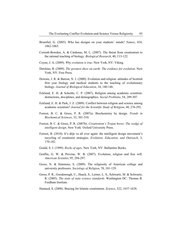- Brumfiel, G. (2005). Who has designs on your students' minds? *Nature*, 434, 1062-1065.
- Cornish-Bowden, A. & Cárdenas, M. L. (2007). The threat from creationism to the rational teaching of biology. *Biological Research*, 40, 113-122.
- Coyne, J. A. (2009). *Why evolution is true*. New York, NY: Viking.
- Dawkins, R. (2009). *The greatest show on earth: The evidence for evolution*. New York, NY: Free Press.
- Downie, J. R. & Barron, N. J. (2000). Evolution and religion: attitudes of Scottish first year biology and medical students to the teaching of evolutionary biology. *Journal of Biological Education*, 34, 140-146.
- Ecklund, E. H. & Scheitle, C. P. (2007). Religion among academic scientists: distinctions, disciplines, and demographics. *Social Problems*, 54, 289-307.
- Ecklund, E. H. & Park, J. Z. (2009). Conflict between religion and science among academic scientists? *Journal for the Scientific Study of Religion*, 48, 276-292.
- Forrest, B. C. & Gross, P. R. (2007a). Biochemistry by design. *Trends in Biochemical Sciences*, 32, 301-310.
- Forrest, B. C. & Gross, P. R. (2007b). *Creationism's Trojan horse: The wedge of intelligent design*. New York: Oxford University Press.
- Forrest, B. (2010). It's déjà vu all over again: the intelligent design movement's recycling of creationist strategies. *Evolution, Education, and Outreach*, 3, 170-182.
- Gould, S. J. (1999). *Rocks of ages*. New York, NY: Ballantine Books.
- Graffin, G. W. & Provine, W. B. (2007). Evolution, religion and free will. *American Scientist*, 95, 294-297.
- Gross, N. & Simmons, S. (2009). The religiosity of American college and university professors. *Sociology of Religion*, 70, 101-129.
- Gross, P. R., Goodenough, U., Haack, S., Lerner, L. S., Schwartz, M. & Schwartz, R. (2005). *The state of state science standards*. Washington DC: Thomas B. Fordham Institute.
- Hameed, S. (2008). Bracing for Islamic creationism. *Science*, 322, 1637-1638.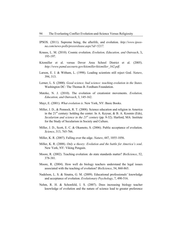- IPSOS. (2011). Supreme being, the afterlife, and evolution. *http://www.ipsosna.com/news-polls/pressrelease.aspx?id=5217.*
- Krauss, L. M. (2010). Cosmic evolution. *Evolution, Education, and Outreach*, 3**,**  193-197.
- Kitzmiller et al. versus Dover Area School District et al. (2005). *http://www.pamd.uscourts.gov/kitzmiller/kitzmiller\_342.pdf*.
- Larson, E. J. & Witham, L. (1998). Leading scientists still reject God. *Nature*, 394, 313.
- Lerner, L. S. (2000). *Good science, bad science: teaching evolution in the States.* Washington DC: The Thomas B. Fordham Foundation.
- Matzke, N. J. (2010). The evolution of creationist movements. *Evolution, Education, and Outreach*, 3, 145-162.
- Mayr, E. (2001). *What evolution is*. New York, NY: Basic Books.
- Miller, J. D., & Pennock, R. T. (2008). Science education and religion in America in the  $21<sup>st</sup>$  century: holding the center. In A. Keysar, & B. A. Kosmin (Eds), *Secularism and science in the 21<sup>st</sup> century* (pp. 9-32). Harford, MA: Institute for the Study of Secularism in Society and Culture.
- Miller, J. D., Scott, E. C. & Okamoto, S. (2006). Public acceptance of evolution. *Science*, 313, 765-766.
- Miller, K. R. (2007). Falling over the edge. *Nature*, 447, 1055-1056.
- Miller, K. R. (2008). *Only a theory: Evolution and the battle for America's soul*. New York, NY: Viking Penguin.
- Moore, R. (2002). Teaching evolution: do state standards matter? *BioScience*, 52, 378-381.
- Moore, R. (2004). How well do biology teachers understand the legal issues associated with the teaching of evolution? *BioScience*, 54, 860-865.
- Nadelson, L. S. & Sinatra, G. M. (2009). Educational professionals' knowledge and acceptance of evolution. *Evolutionary Psychology*, 7, 490-516.
- Nehm, R. H. & Schonfeld, I. S. (2007). Does increasing biology teacher knowledge of evolution and the nature of science lead to greater preference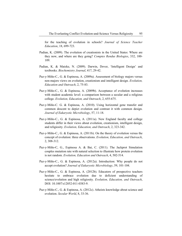for the teaching of evolution in schools? *Journal of Science Teacher Education*, 18, 699-723.

- Padian, K. (2009). The evolution of creationists in the United States: Where are they now, and where are they going? *Comptes Rendus Biologies*, 332, 100- 109.
- Padian, K. & Matzke, N. (2009). Darwin, Dover, 'Intelligent Design' and textbooks. *Biochemistry Journal*, 417, 29-42.
- Paz-y-Miño-C., G. & Espinosa, A. (2009a). Assessment of biology majors versus non-majors views on evolution, creationism and intelligent design. *Evolution, Education and Outreach*, 2, 75-83.
- Paz-y-Miño-C., G. & Espinosa, A. (2009b). Acceptance of evolution increases with student academic level: a comparison between a secular and a religious college. *Evolution, Education, and Outreach*, 2, 655-675.
- Paz-y-Miño-C. G. & Espinosa, A. (2010). Using horizontal gene transfer and common descent to depict evolution and contrast it with common design. *Journal of Eukaryotic Microbiology*, 57, 11-18.
- Paz-y-Miño-C., G. & Espinosa, A. (2011a). New England faculty and college students differ in their views about evolution, creationism, intelligent design, and religiosity. *Evolution, Education, and Outreach*, 2, 323-342.
- Paz-y-Miño-C., G. & Espinosa, A. (2011b). On the theory of evolution versus the concept of evolution: three observations. *Evolution, Education, and Outreach*, 2, 308-312.
- Paz-y-Miño-C, G., Espinosa A. & Bai, C. (2011). The Jackprot Simulation couples mutation rate with natural selection to illustrate how protein evolution is not random. *Evolution, Education and Outreach*, 4, 502-514.
- Paz-y-Miño-C., G. & Espinosa, A. (2012a). Introduction: Why people do not accept evolution? *Journal of Eukaryotic Microbiology*, 59, 101-104.
- Paz-y-Miño-C., G. & Espinosa, A. (2012b). Educators of prospective teachers hesitate to embrace evolution due to deficient understanding of science/evolution and high religiosity. *Evolution, Education, and Outreach*, DOI: 10.1007/s12052-011-0383-9.
- Paz-y-Miño-C., G. & Espinosa, A. (2012c). Atheists knowledge about science and evolution. *Secular World*, 8, 33-36.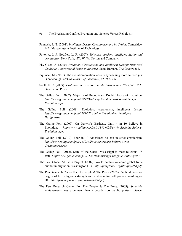- Pennock, R. T. (2001). *Intelligent Design Creationism and its Critics*. Cambridge, MA: Massachusetts Institute of Technology.
- Petto, A. J. & Godfrey, L. R. (2007). *Scientists confront intelligent design and creationism*. New York, NY: W. W. Norton and Company.
- Phy-Olsen, A. (2010). *Evolution, Creationism, and Intelligent Design: Historical Guides to Controversial Issues in America*. Santa Barbara, CA: Greenwood.
- Pigliucci, M. (2007). The evolution-creation wars: why teaching more science just is not enough. *McGill Journal of Education*, 42, 285-306.
- Scott, E. C. (2009). *Evolution vs. creationism: An introduction*. Westport, MA: Greenwood Press.
- The Gallup Poll. (2007). Majority of Republicans Doubt Theory of Evolution. *http://www.gallup.com/poll/27847/Majority-Republicans-Doubt-Theory-Evolution.aspx.*
- The Gallup Poll. (2008). Evolution, creationism, intelligent design. *http://www.gallup.com/poll/21814/Evolution-Creationism-Intelligent-Design.aspx.*
- The Gallup Poll. (2009). On Darwin's Birthday, Only 4 in 10 Believe in Evolution. *http://www.gallup.com/poll/114544/xDarwin-Birthday-Believe-Evolution.aspx.*
- The Gallup Poll. (2010). Four in 10 Americans believe in strict creationism. *http://www.gallup.com/poll/145286/Four-Americans-Believe-Strict-Creationism.aspx.*
- The Gallup Poll. (2012). State of the States: Mississippi is most religious US state. *http://www.gallup.com/poll/153479/mississippi-religious-state.aspx#1.*
- The Pew Global Attitudes Project. (2007). World publics welcome global trade but not immigration. Washington D. C. *http://pewglobal.org/files/pdf/258.pdf.*
- The Pew Research Center For The People & The Press. (2005). Public divided on origins of life: religion a strength and weakness for both parties. Washington DC. *http://people-press.org/reports/pdf/254.pdf.*
- The Pew Research Center For The People & The Press. (2009). Scientific achievements less prominent than a decade ago: public praises science;